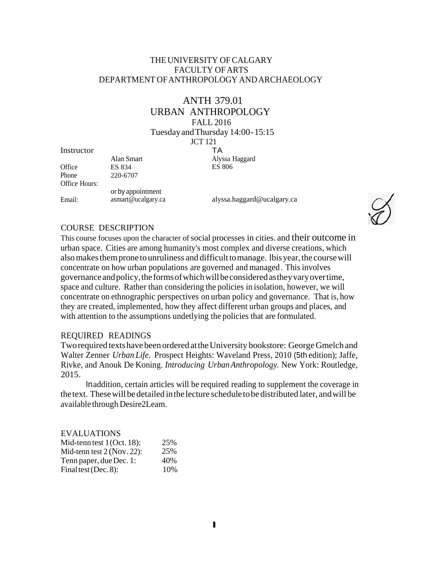# THEUNIVERSITY OF CALGARY FACULTY OF ARTS DEPARTMENT OFANTHROPOLOGY ANDARCHAEOLOGY

# ANTH 379.01

URBAN ANTHROPOLOGY

FALL 2016

TA

TuesdayandThursday 14:00-15:15

JCT 121

**Instructor** 

|               | Alan Smart         | Alyssa Haggard |
|---------------|--------------------|----------------|
| Office        | ES 834             | <b>ES 806</b>  |
| Phone         | 220-6707           |                |
| Office Hours: |                    |                |
|               | or by appointment  |                |
| Email:        | asmart@ucalgary.ca | alyssa.haggard |

a.haggard@ucalgary.ca



### COURSE DESCRIPTION

This course focuses upon the character of social processes in cities, and their outcome in urban space. Cities are among humanity's most complex and diverse creations, which also makes them prone to unruliness and difficult to manage. Ibis year, the course will concentrate on how urban populations are governed and managed. This involves governance andpolicy,theformsofwhichwillbeconsidered astheyvaryovertime, space and culture. Rather than considering the policies in isolation, however, we will concentrate on ethnographic perspectives on urban policy and governance. That is, how they are created, implemented, how they affect different urban groups and places, and with attention to the assumptions undetlying the policies that are formulated.

### REQUIRED READINGS

Two required texts have been ordered at the University bookstore: George Gmelch and Walter Zenner *Urban Life.* Prospect Heights: Waveland Press, 2010 (5th edition); Jaffe, Rivke, and Anouk De Koning. *Introducing UrbanAnthropology.* New York: Routledge, 2015.

Inaddition, certain articles will be required reading to supplement the coverage in thetext. Thesewill bedetailed inthe lecture scheduletobedistributed later, andwill be available through Desire2Leam.

| <b>EVALUATIONS</b>           |     |
|------------------------------|-----|
| Mid-tenn test $1$ (Oct. 18): | 25% |
| Mid-tenn test $2$ (Nov. 22): | 25% |
| Tenn paper, due Dec. 1:      | 40% |
| Final test (Dec. 8):         | 10% |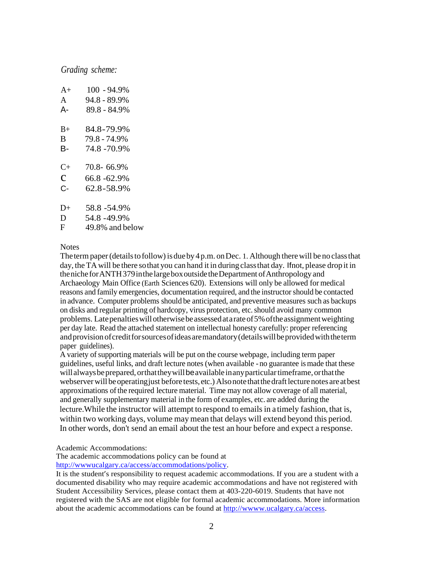# *Grading scheme:*

| $A+$         | $100 - 94.9\%$  |
|--------------|-----------------|
| $\mathbf{A}$ | 94.8 - 89.9%    |
| А-           | 89.8 - 84.9%    |
|              |                 |
| $B+$         | 84.8-79.9%      |
| B            | 79.8 - 74.9%    |
| В-           | 74.8 - 70.9%    |
|              |                 |
| $C+$         | 70.8-66.9%      |
| $\mathbf{C}$ | 66.8 - 62.9%    |
| $C -$        | 62.8-58.9%      |
|              |                 |
| $D+$         | 58.8 - 54.9%    |
| D            | 54.8 - 49.9%    |
| F            | 49.8% and below |

#### **Notes**

The term paper (details to follow) is due by  $4 p.m.$  on Dec. 1. Although there will be no class that day, theTAwill be there sothat you can hand it in during classthat day. Ifnot, please drop it in the niche for ANTH 379 in the large box outside the Department of Anthropology and Archaeology Main Office (Earth Sciences 620). Extensions will only be allowed for medical reasons and family emergencies, documentation required, and the instructor should be contacted in advance. Computer problems should be anticipated, and preventive measures such as backups on disks and regular printing of hardcopy, virus protection, etc.should avoid many common problems. Late penalties will otherwise be assessed at a rate of 5% of the assignment weighting per day late. Read the attached statement on intellectual honesty carefully: proper referencing and provision of credit for sources of ideas are mandatory (details will be provided with the term paper guidelines).

A variety of supporting materials will be put on the course webpage, including term paper guidelines, useful links, and draft lecture notes (when available - no guarantee ismade that these will always be prepared, orthat they will be available in any particular timeframe, orthat the webserver will be operating just before tests, etc.) Also note that the draft lecture notes are at best approximations ofthe required lecture material. Time may not allow coverage of all material, and generally supplementary material in the form of examples, etc. are added during the lecture. While the instructor will attempt to respond to emails in a timely fashion, that is, within two working days, volume may mean that delays will extend beyond this period. In other words, don't send an email about the test an hour before and expect a response.

Academic Accommodations:

The academic accommodations policy can be found at

[http://wwwucalgary.ca/access/accommodations/policy.](http://wwwucalgary.ca/access/accommodations/policy)

It is the student's responsibility to request academic accommodations. If you are a student with a documented disability who may require academic accommodations and have not registered with Student Accessibility Services, please contact them at 403-220-6019. Students that have not registered with the SAS are not eligible for formal academic accommodations. More information about the academic accommodations can be found at [http://wwww.ucalgary.ca/access.](http://wwww.ucalgary.ca/access)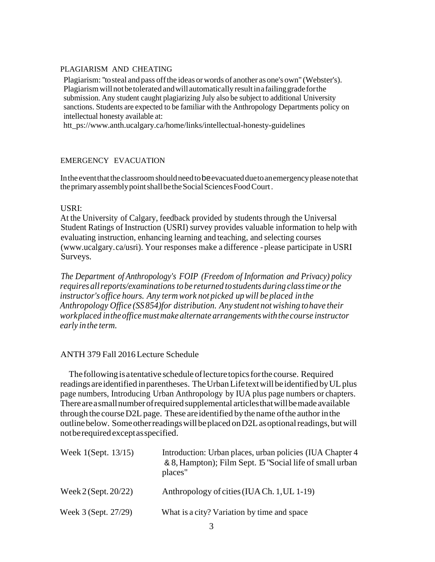### PLAGIARISM AND CHEATING

Plagiarism: ''tosteal and pass offthe ideas orwords of another asone's own" (Webster's). Plagiarismwillnotbetolerated andwill automaticallyresultinafailinggradeforthe submission. Any student caught plagiarizing July also be subject to additional University sanctions. Students are expected to be familiar with the Anthropology Departments policy on intellectual honesty available at:

[htt\\_ps://www.anth.ucalgary.ca/home/links/intellectual-honesty-guidelines](http://www.anth.ucalgary.ca/home/links/intellectual-honesty-guidelines)

#### EMERGENCY EVACUATION

Intheeventthatthe classroomshouldneedtobeevacuatedduetoanemergencypleasenotethat the primary assembly point shall be the Social Sciences Food Court.

### USRI:

At the University of Calgary, feedback provided by students through the Universal Student Ratings of Instruction (USRI) survey provides valuable information to help with evaluating instruction, enhancing learning and teaching, and selecting courses (www.ucalgary.ca/usri). Your responses make a difference - please participate in USRI Surveys.

*The Department of Anthropology's FOIP (Freedom of Information and Privacy) policy requires allreports/examinations tobe returned tostudents during classtime orthe instructor's office hours. Any term work not picked upwill be placed in the Anthropology Office (SS 854)for distribution. Any student notwishing tohave their workplaced intheofficemustmake alternate arrangementswith the course instructor early inthe term.*

### ANTH 379 Fall 2016Lecture Schedule

The following is a tentative schedule of lecture topics for the course. Required readings areidentified inparentheses. TheUrbanLifetextwillbe identifiedbyULplus page numbers, Introducing Urban Anthropology by IUA plus page numbers or chapters. Thereareasmallnumberofrequired supplemental articlesthatwillbemade available through the course D2L page. These are identified by the name of the author in the outline below. Some other readings will be placed on D2L as optional readings, but will notberequired exceptasspecified.

| Week 1(Sept. 13/15)    | Introduction: Urban places, urban policies (IUA Chapter 4)<br>& 8, Hampton); Film Sept. 15 "Social life of small urban<br>places" |
|------------------------|-----------------------------------------------------------------------------------------------------------------------------------|
| Week $2$ (Sept. 20/22) | Anthropology of cities (IUACh. 1, UL 1-19)                                                                                        |
| Week 3 (Sept. 27/29)   | What is a city? Variation by time and space                                                                                       |